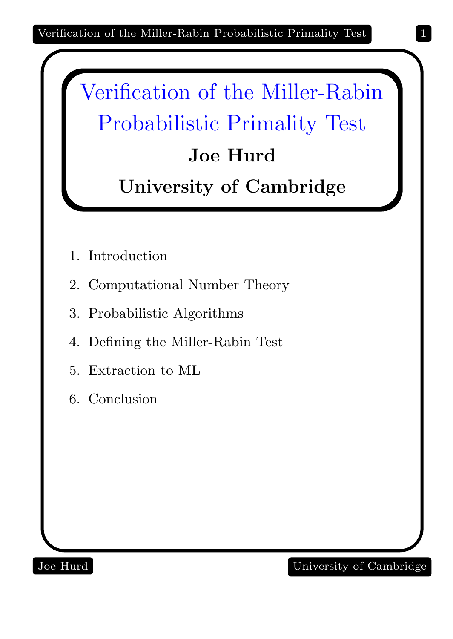

- 1. Introduction
- 2. Computational Number Theory
- 3. Probabilistic Algorithms
- 4. Defining the Miller-Rabin Test
- 5. Extraction to ML
- 6. Conclusion

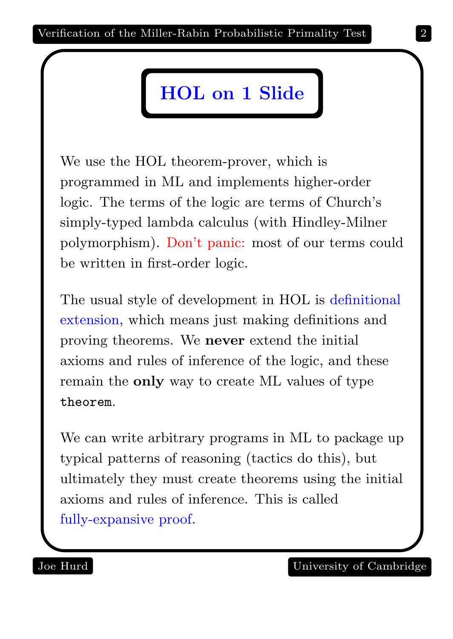## HOL on 1 Slide

We use the HOL theorem-prover, which is programmed in ML and implements higher-order logic. The terms of the logic are terms of Church's simply-typed lambda calculus (with Hindley-Milner polymorphism). Don't panic: most of our terms could be written in first-order logic.

The usual style of development in HOL is definitional extension, which means just making definitions and proving theorems. We never extend the initial axioms and rules of inference of the logic, and these remain the only way to create ML values of type theorem.

We can write arbitrary programs in ML to package up typical patterns of reasoning (tactics do this), but ultimately they must create theorems using the initial axioms and rules of inference. This is called fully-expansive proof.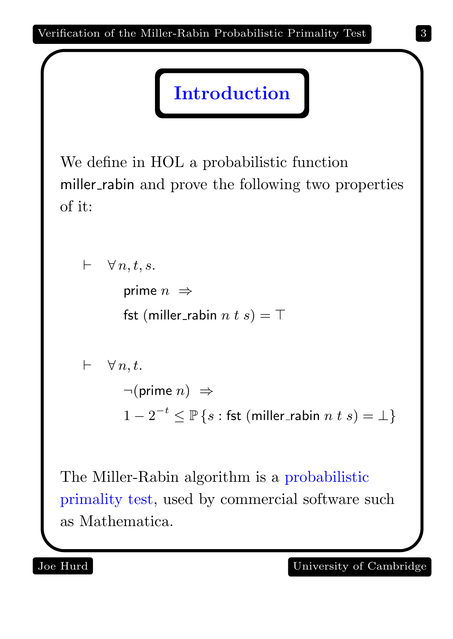Introduction

We define in HOL a probabilistic function miller\_rabin and prove the following two properties of it:

```
\vdash \forall n, t, s.prime n \Rightarrowfst (miller_rabin n \, t \, s) = \top\vdash \forall n,t.\neg(\text{prime } n) \Rightarrow1-2^{-t} \leq \mathbb{P} \left\{ s : \textsf{fst} \text{ (miller\_rabin } n \text{ } t \text{ } s)=\bot \right\}
```
The Miller-Rabin algorithm is a probabilistic primality test, used by commercial software such as Mathematica.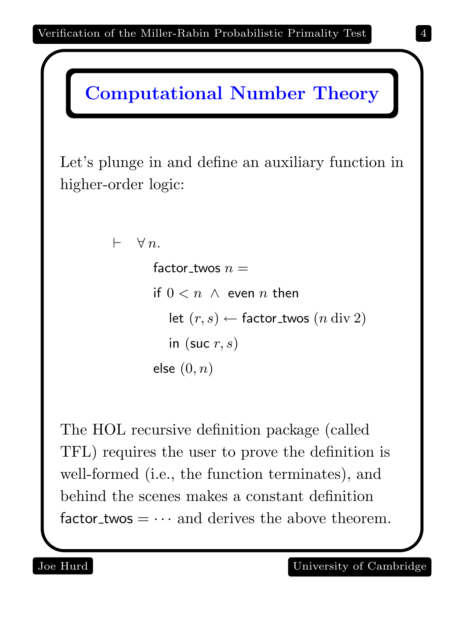

Let's plunge in and define an auxiliary function in higher-order logic:

```
\vdash \forall n.
factor_twos n =if 0 < n \land even n then
   let (r, s) \leftarrow factor_twos (n \, \text{div} \, 2)in (suc r, s)
else (0, n)
```
The HOL recursive definition package (called TFL) requires the user to prove the definition is well-formed (i.e., the function terminates), and behind the scenes makes a constant definition factor twos  $= \cdots$  and derives the above theorem.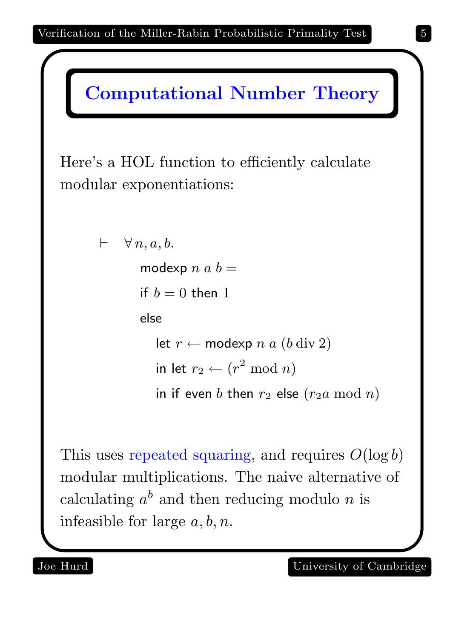



This uses repeated squaring, and requires  $O(\log b)$ modular multiplications. The naive alternative of calculating  $a^b$  and then reducing modulo n is infeasible for large  $a, b, n$ .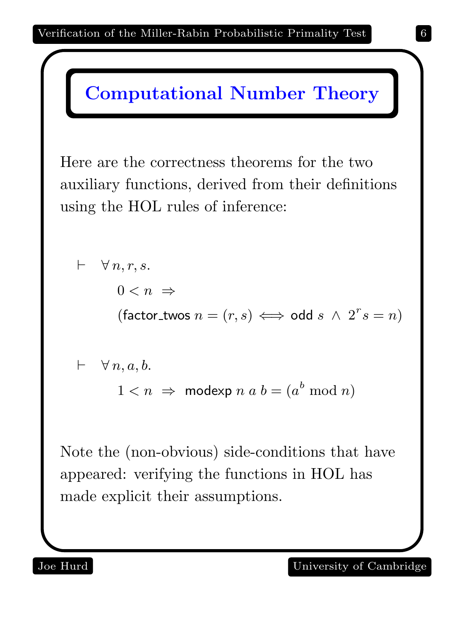Here are the correctness theorems for the two auxiliary functions, derived from their definitions using the HOL rules of inference:

$$
\vdash \forall n, r, s.
$$
\n
$$
0 < n \Rightarrow
$$
\n
$$
(\text{factor\_twos } n = (r, s) \iff \text{odd } s \land 2^r s = n)
$$
\n
$$
\vdash \forall n, a, b.
$$
\n
$$
1 < n \Rightarrow \text{modexp } n \text{ a } b = (a^b \mod n)
$$

Note the (non-obvious) side-conditions that have appeared: verifying the functions in HOL has made explicit their assumptions.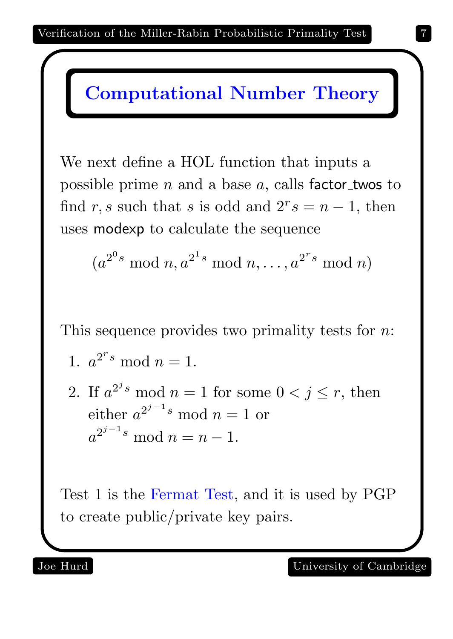We next define a HOL function that inputs a possible prime  $n$  and a base  $a$ , calls factor twos to find r, s such that s is odd and  $2^r s = n - 1$ , then uses modexp to calculate the sequence

$$
(a^{2^0 s} \bmod n, a^{2^1 s} \bmod n, \ldots, a^{2^r s} \bmod n)
$$

This sequence provides two primality tests for *n*:

1. 
$$
a^{2^r s} \bmod n = 1.
$$

2. If  $a^{2^j s} \mod n = 1$  for some  $0 < j \le r$ , then either  $a^{2^{j-1}s} \mod n = 1$  or  $a^{2^{j-1}s} \mod n = n-1.$ 

Test 1 is the Fermat Test, and it is used by PGP to create public/private key pairs.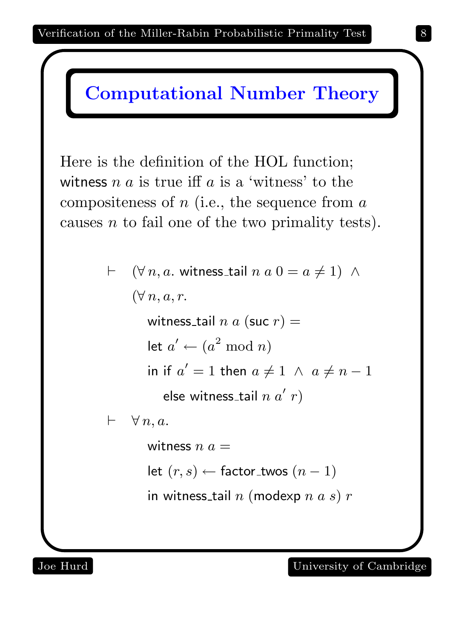Here is the definition of the HOL function; witness  $n a$  is true iff  $a$  is a 'witness' to the compositeness of  $n$  (i.e., the sequence from  $a$ causes n to fail one of the two primality tests).

> $\vdash$   $(\forall n, a$ . witness\_tail  $n a 0 = a \neq 1)$  ∧  $(\forall n, a, r.$ witness\_tail  $n a$  (suc  $r$ ) = let  $a' \leftarrow (a^2 \bmod n)$ in if  $a'=1$  then  $a\neq 1 \ \wedge \ a\neq n-1$ else witness\_tail  $n \; a' \; r)$  $\vdash \forall n, a.$ witness  $n a =$ let  $(r, s)$  ← factor\_twos  $(n - 1)$

in witness\_tail  $n$  (modexp  $n$   $a$   $s$ )  $r$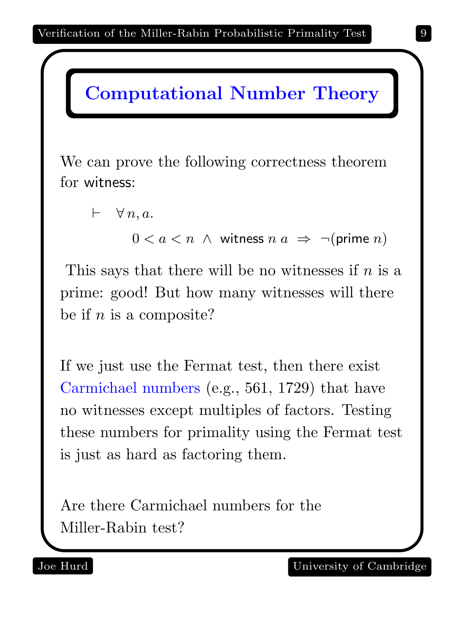We can prove the following correctness theorem for witness:

 $\vdash \forall n, a.$ 

 $0 < a < n$  ∧ witness  $n \mid a \mid \Rightarrow \neg(\text{prime } n)$ 

This says that there will be no witnesses if  $n$  is a prime: good! But how many witnesses will there be if  $n$  is a composite?

If we just use the Fermat test, then there exist Carmichael numbers (e.g., 561, 1729) that have no witnesses except multiples of factors. Testing these numbers for primality using the Fermat test is just as hard as factoring them.

Are there Carmichael numbers for the Miller-Rabin test?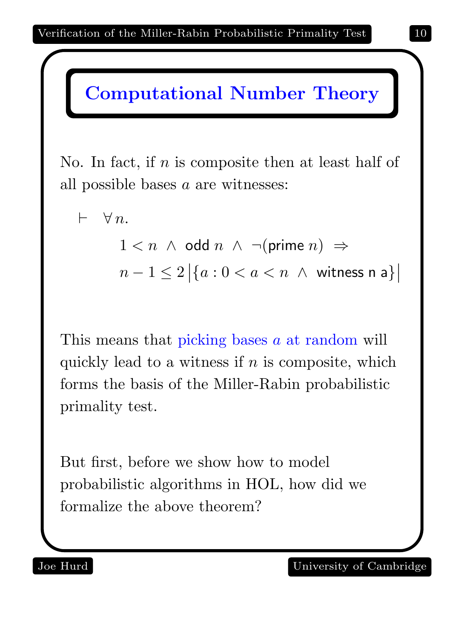

No. In fact, if  $n$  is composite then at least half of all possible bases a are witnesses:

$$
\vdash \forall n.
$$
\n
$$
1 < n \land \text{odd } n \land \neg(\text{prime } n) \Rightarrow
$$
\n
$$
n - 1 \leq 2 \big| \{ a : 0 < a < n \land \text{witness } n \} \big|
$$

This means that picking bases a at random will quickly lead to a witness if  $n$  is composite, which forms the basis of the Miller-Rabin probabilistic primality test.

But first, before we show how to model probabilistic algorithms in HOL, how did we formalize the above theorem?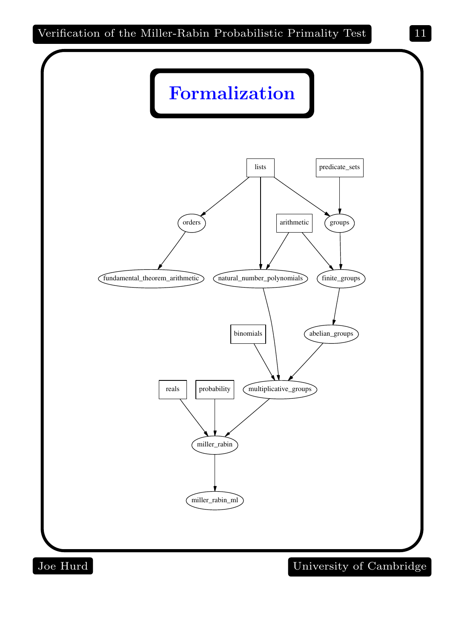

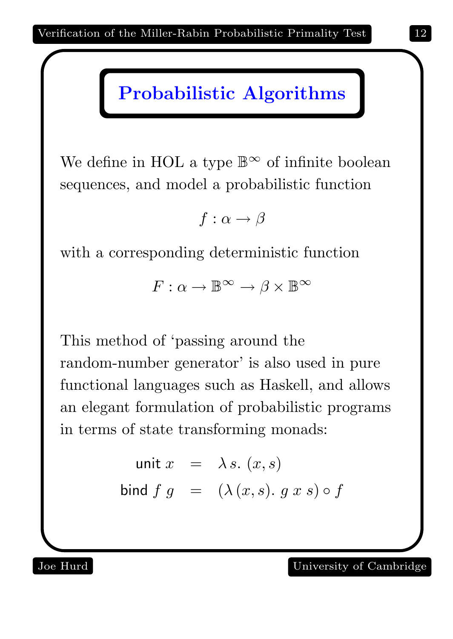#### Probabilistic Algorithms

We define in HOL a type  $\mathbb{B}^{\infty}$  of infinite boolean sequences, and model a probabilistic function

 $f : \alpha \rightarrow \beta$ 

with a corresponding deterministic function

 $F: \alpha \to \mathbb{B}^{\infty} \to \beta \times \mathbb{B}^{\infty}$ 

This method of 'passing around the random-number generator' is also used in pure functional languages such as Haskell, and allows an elegant formulation of probabilistic programs in terms of state transforming monads:

> unit  $x = \lambda s$ .  $(x, s)$ bind  $f \, g = (\lambda(x, s), g \, x \, s) \circ f$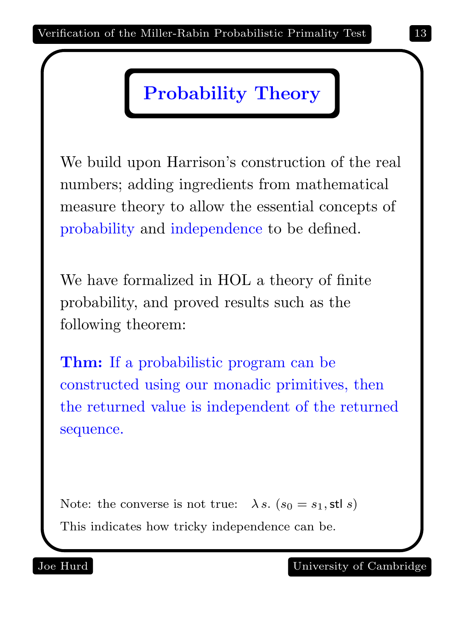### Probability Theory

We build upon Harrison's construction of the real numbers; adding ingredients from mathematical measure theory to allow the essential concepts of probability and independence to be defined.

We have formalized in HOL a theory of finite probability, and proved results such as the following theorem:

Thm: If a probabilistic program can be constructed using our monadic primitives, then the returned value is independent of the returned sequence.

Note: the converse is not true:  $\lambda s$ .  $(s_0 = s_1, \text{stl } s)$ This indicates how tricky independence can be.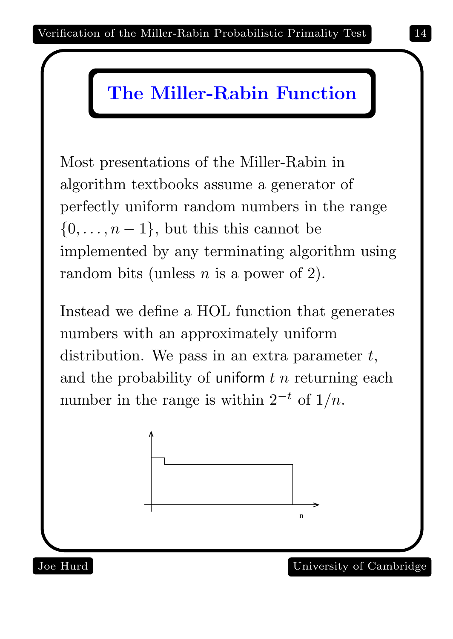### The Miller-Rabin Function

Most presentations of the Miller-Rabin in algorithm textbooks assume a generator of perfectly uniform random numbers in the range  $\{0,\ldots,n-1\}$ , but this this cannot be implemented by any terminating algorithm using random bits (unless  $n$  is a power of 2).

Instead we define a HOL function that generates numbers with an approximately uniform distribution. We pass in an extra parameter  $t$ , and the probability of uniform  $t$  n returning each number in the range is within  $2^{-t}$  of  $1/n$ .

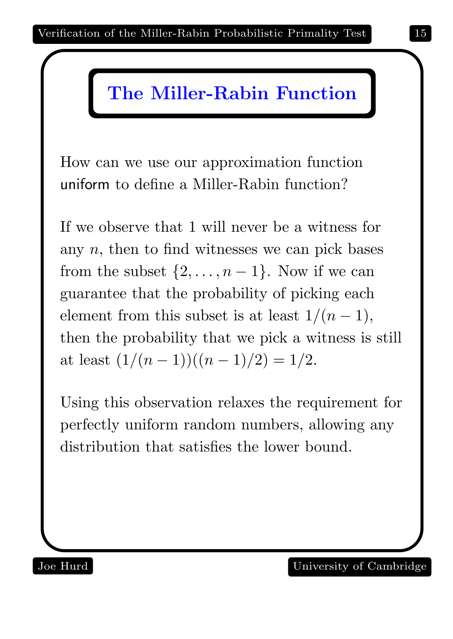## The Miller-Rabin Function

How can we use our approximation function uniform to define a Miller-Rabin function?

If we observe that 1 will never be a witness for any  $n$ , then to find witnesses we can pick bases from the subset  $\{2, \ldots, n-1\}$ . Now if we can guarantee that the probability of picking each element from this subset is at least  $1/(n-1)$ , then the probability that we pick a witness is still at least  $\frac{1}{(n-1)((n-1)/2)} = \frac{1}{2}$ .

Using this observation relaxes the requirement for perfectly uniform random numbers, allowing any distribution that satisfies the lower bound.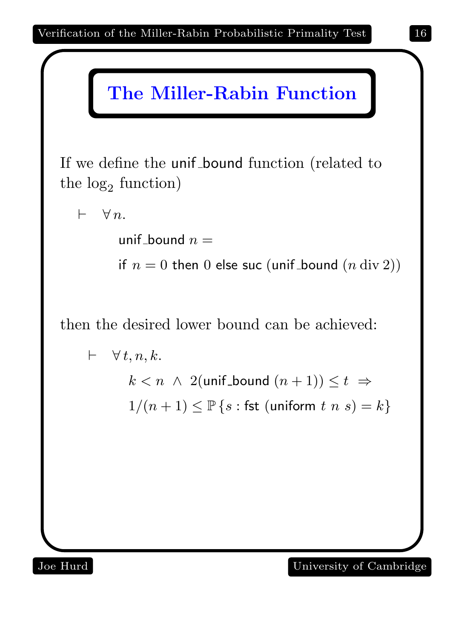

If we define the unif bound function (related to the  $log_2$  function)

 $\vdash \forall n$ .

unif bound  $n =$ 

if  $n = 0$  then 0 else suc (unif bound  $(n \div 2)$ )

then the desired lower bound can be achieved:

 $\vdash \forall t, n, k.$  $k < n \land 2$ (unif\_bound  $(n+1)$ )  $\leq t \Rightarrow$  $1/(n+1) \leq \mathbb{P}\left\{s : \text{fst (uniform } t \text{ is } s) = k\right\}$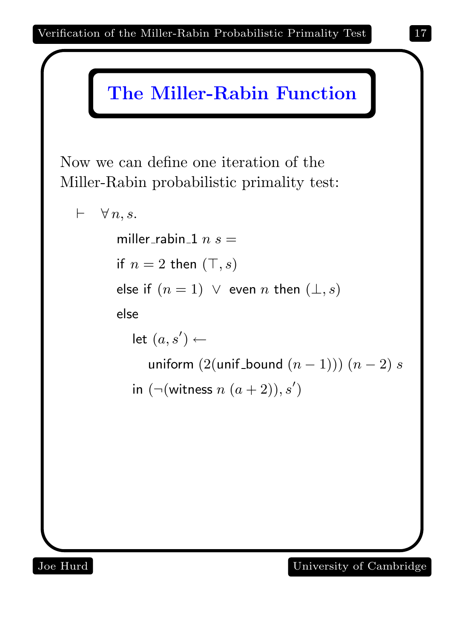

### The Miller-Rabin Function

Now we can define one iteration of the Miller-Rabin probabilistic primality test:

```
\vdash \forall n, s.miller_rabin_1 n s =if n = 2 then (\top, s)else if (n = 1) \vee even n then (\perp, s)else
   \mathsf{let}\; (a, s') \leftarrowuniform (2(\text{unif\_bound } (n-1))) (n-2) sin (\neg(\text{witness } n (a+2)), s')
```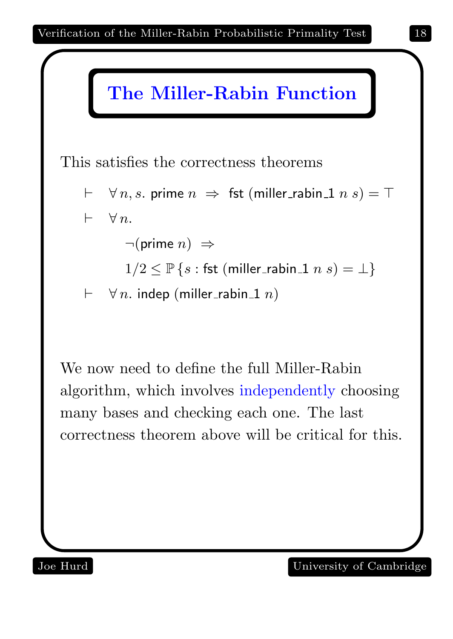

This satisfies the correctness theorems

 $\vdash \forall n, s.$  prime  $n \Rightarrow$  fst (miller\_rabin\_1 n s) =  $\top$  $\vdash \forall n$ .

 $\neg(\text{prime } n) \Rightarrow$ 

- $1/2 \leq \mathbb{P}\left\{s : \text{fst (miller\_rabin\_1 } n s) = \bot\right\}$
- $\vdash \forall n$ . indep (miller\_rabin\_1 n)

We now need to define the full Miller-Rabin algorithm, which involves independently choosing many bases and checking each one. The last correctness theorem above will be critical for this.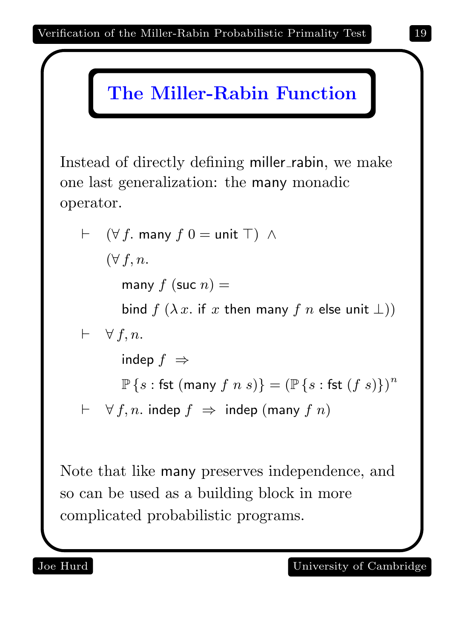# The Miller-Rabin Function

Instead of directly defining miller\_rabin, we make one last generalization: the many monadic operator.

\n- ⊢ 
$$
(\forall f, \text{many } f \text{ } 0 = \text{unit } \top) \land
$$
\n $(\forall f, n.$ \n
	\n- many  $f$  (suc  $n$ ) =
	\n- bind  $f (\lambda x. \text{ if } x \text{ then many } f \text{ } n \text{ else unit } \bot))$
	\n- ⊢  $\forall f, n$ .
	\n- indep  $f$  ⇒
	\n- □ P {s : \text{fst (many } f \text{ } n \text{ } s)} = (□ P {s : \text{fst } (f \text{ } s)})^n
	\n- ⊢  $\forall f, n$ . indep  $f$  ⇒ indep (many  $f \text{ } n$ )
	\n\n
\n

Note that like many preserves independence, and so can be used as a building block in more complicated probabilistic programs.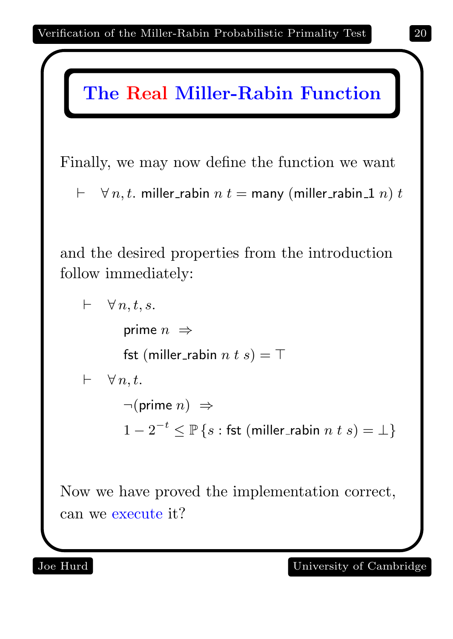

Finally, we may now define the function we want

 $\vdash \forall n, t.$  miller\_rabin  $n t =$  many (miller\_rabin\_1 n) t

and the desired properties from the introduction follow immediately:

```
\vdash \forall n, t, s.prime n \Rightarrowfst (miller_rabin n \, t \, s) = \top\vdash \forall n,t.\neg(\text{prime } n) \Rightarrow1-2^{-t} \leq \mathbb{P} \left\{ s : \textsf{fst} \text{ (miller\_rabin } n \text{ } t \text{ } s)=\bot \right\}
```
Now we have proved the implementation correct, can we execute it?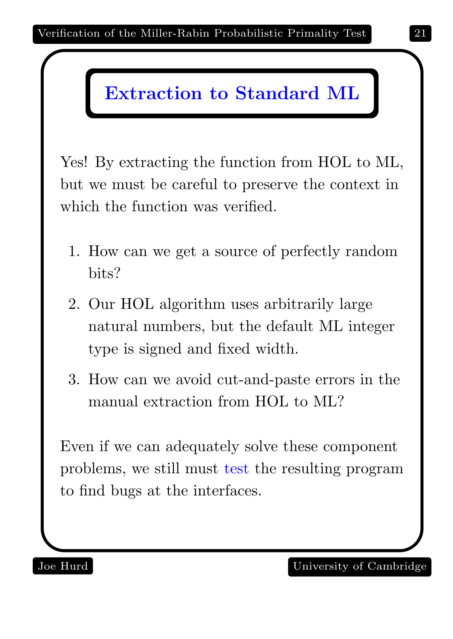## Extraction to Standard ML

Yes! By extracting the function from HOL to ML, but we must be careful to preserve the context in which the function was verified.

- 1. How can we get a source of perfectly random bits?
- 2. Our HOL algorithm uses arbitrarily large natural numbers, but the default ML integer type is signed and fixed width.
- 3. How can we avoid cut-and-paste errors in the manual extraction from HOL to ML?

Even if we can adequately solve these component problems, we still must test the resulting program to find bugs at the interfaces.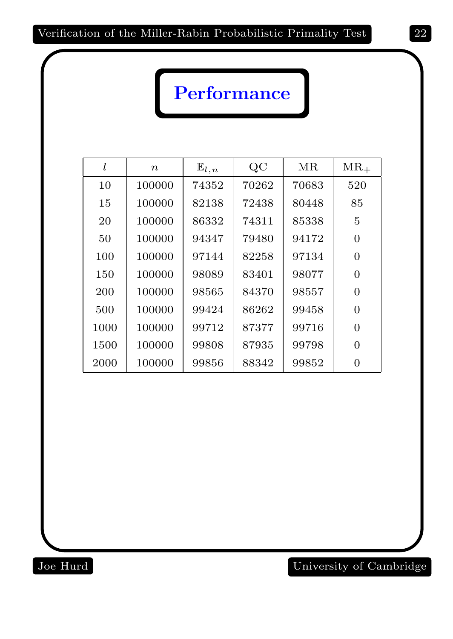# Performance

|      | $\boldsymbol{n}$ | $\mathbb{E}_{l,n}$ | QC    | MR    | $MR_{+}$       |
|------|------------------|--------------------|-------|-------|----------------|
| 10   | 100000           | 74352              | 70262 | 70683 | 520            |
| 15   | 100000           | 82138              | 72438 | 80448 | 85             |
| 20   | 100000           | 86332              | 74311 | 85338 | $\overline{5}$ |
| 50   | 100000           | 94347              | 79480 | 94172 | $\Omega$       |
| 100  | 100000           | 97144              | 82258 | 97134 | $\Omega$       |
| 150  | 100000           | 98089              | 83401 | 98077 | $\Omega$       |
| 200  | 100000           | 98565              | 84370 | 98557 | $\Omega$       |
| 500  | 100000           | 99424              | 86262 | 99458 | $\overline{0}$ |
| 1000 | 100000           | 99712              | 87377 | 99716 | $\overline{0}$ |
| 1500 | 100000           | 99808              | 87935 | 99798 | $\Omega$       |
| 2000 | 100000           | 99856              | 88342 | 99852 |                |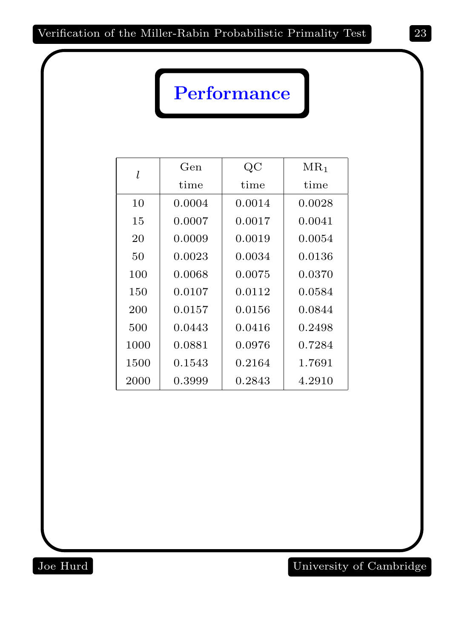# Performance

| l    | Gen    | $\rm QC$ | $MR_1$ |
|------|--------|----------|--------|
|      | time   | time     | time   |
| 10   | 0.0004 | 0.0014   | 0.0028 |
| 15   | 0.0007 | 0.0017   | 0.0041 |
| 20   | 0.0009 | 0.0019   | 0.0054 |
| 50   | 0.0023 | 0.0034   | 0.0136 |
| 100  | 0.0068 | 0.0075   | 0.0370 |
| 150  | 0.0107 | 0.0112   | 0.0584 |
| 200  | 0.0157 | 0.0156   | 0.0844 |
| 500  | 0.0443 | 0.0416   | 0.2498 |
| 1000 | 0.0881 | 0.0976   | 0.7284 |
| 1500 | 0.1543 | 0.2164   | 1.7691 |
| 2000 | 0.3999 | 0.2843   | 4.2910 |

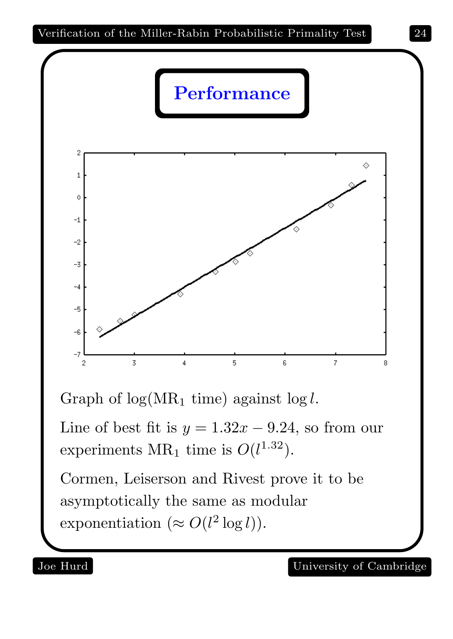